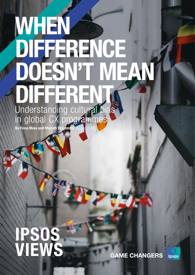# WHEN DIFFERENCE DOESN'T MEAN DIFFERENT Understanding cultural bias in global CX programmes

By Fiona Moss and Bharath Vijayendra | August 2020

# IPSOS VIEWS

**GAME CHANGERS IPSOS**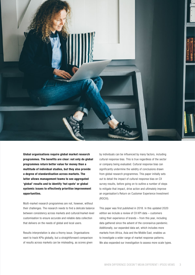

Global organisations require global market research programmes. The benefits are clear: not only do global programmes return better value for money than a multitude of individual studies, but they also provide a degree of standardisation across markets. The latter allows management teams to see aggregated 'global' results and to identify 'hot spots' or global systemic issues to effectively prioritise improvement opportunities.

Multi-market research programmes are not, however, without their challenges. The research needs to find a delicate balance between consistency across markets and cultural/market-level customisation to ensure accurate and reliable data collection that delivers on the needs of global and local users.

Results interpretation is also a thorny issue. Organisations want to track KPIs globally, but a straightforward comparison of results across markets can be misleading, as scores given

by individuals can be influenced by many factors, including cultural response bias. This is true regardless of the sector or company being evaluated. Cultural response bias can significantly undermine the validity of conclusions drawn from global research programmes. This paper initially sets out to detail the impact of cultural response bias on CX survey results, before going on to outline a number of steps to mitigate that impact, drive action and ultimately improve an organisation's Return on Customer Experience Investment (ROCXI).

This paper was first published in 2018. In this updated 2020 edition we include a review of CX KPI data – customers rating their experience of brands – from this year, including data gathered since the advent of the coronavirus pandemic. Additionally, our expanded data set, which includes more markets from Africa, Asia and the Middle East, enables us to investigate a wider range of market response patterns. We also expanded our investigation to assess more scale types.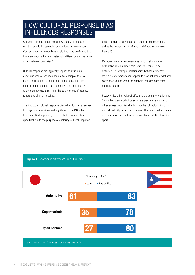## HOW CULTURAL RESPONSE BIAS INFLUENCES RESPONSES

Cultural response bias is not a new theory. It has been scrutinised within research communities for many years. Consequently, large numbers of studies have confirmed that there are substantial and systematic differences in response styles between countries.<sup>1</sup>

Cultural response bias typically applies to attitudinal questions where response scales (for example, the fivepoint Likert scale, 10-point end-anchored scales) are used. It manifests itself as a country-specific tendency to consistently use a rating in the scale, or set of ratings, regardless of what is asked.

The impact of cultural response bias when looking at survey findings can be obvious and significant. In 2018, when this paper first appeared, we collected normative data specifically with the purpose of exploring cultural response

bias. The data clearly illustrates cultural response bias, giving the impression of inflated or deflated scores (see Figure 1).

Moreover, cultural response bias is not just visible in descriptive results. Inferential statistics can also be distorted. For example, relationships between different attitudinal statements can appear to have inflated or deflated correlation values when the analysis includes data from multiple countries.

However, isolating cultural effects is particularly challenging. This is because product or service expectations may also differ across countries due to a number of factors, including market maturity or competitiveness. The combined influence of expectation and cultural response bias is difficult to pick apart.

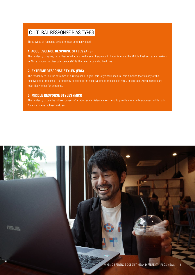## CULTURAL RESPONSE BIAS TYPES

Three types of response style are most commonly cited:

### 1. ACQUIESCENCE RESPONSE STYLES (ARS)

The tendency to agree, regardless of what is asked – seen frequently in Latin America, the Middle East and some markets in Africa. Known as disacquiescence (DRS), the reverse can also hold true.

### 2. EXTREME RESPONSE STYLES (ERS)

The tendency to use the extremes of a rating scale. Again, this is typically seen in Latin America (particularly at the positive end of the scale – a tendency to score at the negative end of the scale is rare). In contrast, Asian markets are least likely to opt for extremes.

#### 3. MIDDLE RESPONSE STYLES (MRS)

The tendency to use the mid-responses of a rating scale. Asian markets tend to provide more mid-responses, while Latin America is less inclined to do so.

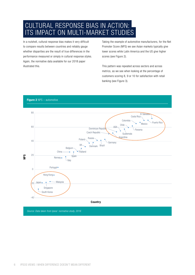CULTURAL RESPONSE BIAS IN ACTION: ITS IMPACT ON MULTI-MARKET STUDIES

In a nutshell, cultural response bias makes it very difficult to compare results between countries and reliably gauge whether disparities are the result of true differences in the performance measured or simply in cultural response styles. Again, the normative data available for our 2018 paper illustrated this.

Taking the example of automotive manufacturers, for the Net Promoter Score (NPS) we see Asian markets typically give lower scores while Latin America and the US give higher scores (see Figure 2).

This pattern was repeated across sectors and across metrics, as we see when looking at the percentage of customers scoring 8, 9 or 10 for satisfaction with retail banking (see Figure 3).



#### Figure 2 NPS – automotive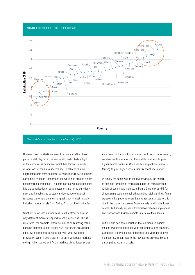#### **Figure 3** Satisfaction (T3B) – retail banking



*Source: Data taken from Ipsos' normative study, 2016*

However, now, in 2020, we want to explore whether these patterns still play out in the real world, particularly in light of the coronavirus pandemic, which has thrown so much of what was certain into uncertainty. To achieve this, we aggregated data from business-to-consumer (B2C) CX studies carried out by Ipsos from around the world and created a new benchmarking database.2 This data carries two huge benefits: it is a true reflection of what customers are telling our clients now; and it enables us to study a wider range of market response patterns than in our original study – most notably including more markets from Africa, Asia and the Middle East.

What we found was cultural bias is still entrenched in the way different markets respond to scale questions. This is illustrated, for example, when we look at NPS among retail banking customers (see Figure 4).<sup>3</sup> The results are aligned, albeit with some natural variation, with what we found previously. We still see a pattern of Latin American markets giving higher scores and Asian markets giving lower scores. As a result of the addition of more countries to the research, we also see that markets in the Middle East tend to give higher scores, while in Africa we see anglophone markets tending to give higher scores than francophone markets.

In exactly the same way as we saw previously, the pattern of high and low scoring markets remains the same across a variety of sectors and metrics. In Figure 5 we look at NPS for all remaining sectors combined (excluding retail banking). Again we see similar patterns where Latin American markets tend to give higher scores and some Asian markets tend to give lower scores. Additionally we see differentiation between anglophone and francophone African markets in terms of their scores.

But we also see some variation that cautions us against making sweeping continent-wide statements. For example, Cambodia, the Philippines, Indonesia and Vietnam all give high scores, in contrast to the low scores provided by other participating Asian markets.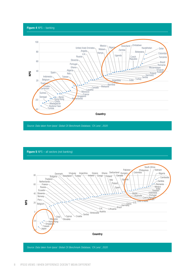Figure 4 NPS – banking



*Source: Data taken from Ipsos' Global CX Benchmark Database, 'CX Lens', 2020*



*Source: Data taken from Ipsos' Global CX Benchmark Database, 'CX Lens', 2020*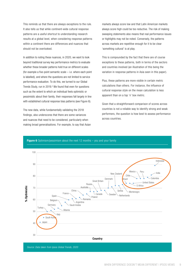This reminds us that there are always exceptions to the rule. It also tells us that while continent-wide cultural response patterns are a useful shortcut to understanding research results at a global level, when considering response patterns within a continent there are differences and nuances that should not be overlooked.

In addition to noting these nuances, in 2020, we want to look beyond traditional survey key performance metrics to evaluate whether these broader patterns hold true on different scales (for example a five-point semantic scale – i.e. where each point is labelled), and where the questions are not limited to service performance evaluation. To do this, we turned to our Global Trends Study, run in 2019.<sup>4</sup> We found that even for questions such as the extent to which an individual feels optimistic or pessimistic about their family, their responses fall largely in line with established cultural response bias patterns (see Figure 6).

The new data, while fundamentally validating the 2018 findings, also underscores that there are some variances and nuances that need to be considered, particularly when making broad generalisations. For example, to say that Asian markets always score low and that Latin American markets always score high could be too reductive. The risk of making sweeping statements also means that real performance issues or highlights may not be noted. Conversely, the patterns across markets are repetitive enough for it to be clear 'something cultural' is at play.

This is compounded by the fact that there are of course exceptions to these patterns, both in terms of the sectors and countries involved (an illustration of this being the variation in response patterns in Asia seen in this paper).

Plus, these patterns are more visible in certain metric calculations than others. For instance, the influence of cultural response style on the mean calculation is less apparent than on a top 'n' box metric.

Given that a straightforward comparison of scores across countries is not a reliable way to identify strong and weak performers, the question is how best to assess performance across countries.



#### **Figure 6** Optimism/pessimism about the next 12 months  $-$  you and your family

*Source: Data taken from Ipsos Global Trends, 2020*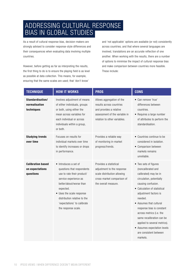## ADDRESSING CULTURAL RESPONSE BIAS IN GLOBAL STUDIES

As a result of cultural response bias, decision-makers are strongly advised to consider response-style differences and their consequences when evaluating data involving multiple countries.

However, before getting as far as interpreting the results, the first thing to do is to ensure the playing field is as level as possible at data collection. This means, for example, ensuring that the same scales are used; that 'don't know'

and 'not applicable' options are available (or not) consistently across countries; and that where several languages are involved, translations are an accurate reflection of one another. When working with the results, there are a number of options to minimise the impact of cultural response bias and make comparison between countries more feasible. These include:

| <b>TECHNIQUE</b>                                         | <b>HOW IT WORKS</b>                                                                                                                                                                                                                                                   | <b>PROS</b>                                                                                                                                       | <b>CONS</b>                                                                                                                                                                                                                                                                                                                                                                                                       |
|----------------------------------------------------------|-----------------------------------------------------------------------------------------------------------------------------------------------------------------------------------------------------------------------------------------------------------------------|---------------------------------------------------------------------------------------------------------------------------------------------------|-------------------------------------------------------------------------------------------------------------------------------------------------------------------------------------------------------------------------------------------------------------------------------------------------------------------------------------------------------------------------------------------------------------------|
| Standardisation/<br>normalisation<br>techniques          | Involves adjustment of means<br>of either individuals, groups<br>or both, using either the<br>mean across variables for<br>each individual or across<br>individuals within a group,<br>or both.                                                                       | Allows aggregation of the<br>results across countries<br>and provides a relative<br>assessment of the variable in<br>relation to other variables. | • Can remove 'true'<br>differences between<br>countries.<br>• Requires a large number<br>of attributes to perform the<br>standardisation.                                                                                                                                                                                                                                                                         |
| <b>Studying trends</b><br>over time                      | Focuses on results for<br>individual markets over time<br>to identify increases or drops<br>in performance.                                                                                                                                                           | Provides a reliable way<br>of monitoring in-market<br>progress/trends.                                                                            | • Countries continue to be<br>considered in isolation.<br>• Comparison between<br>markets remains<br>unreliable.                                                                                                                                                                                                                                                                                                  |
| <b>Calibration based</b><br>on expectations<br>questions | • Introduces a set of<br>questions that respondents<br>use to rate their product/<br>service experience as<br>better/about/worse than<br>expected.<br>• Uses the scale response<br>distribution relative to the<br>'expectations' to calibrate<br>the response scale. | Provides a statistical<br>adjustment to the response<br>scale distribution allowing<br>cross-market comparison of<br>the overall measure.         | • Two sets of figures<br>(noncalibrated and<br>calibrated) may be in<br>circulation, potentially<br>causing confusion.<br>• Calculation of statistical<br>adjustment factors is<br>needed.<br>• Assumes that cultural<br>response bias is constant<br>across metrics (i.e. the<br>same recalibration can be<br>applied to several metrics).<br>• Assumes expectation levels<br>are consistent between<br>markets. |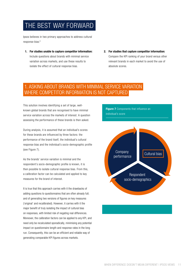# THE BEST WAY FORWARD

Ipsos believes in two primary approaches to address cultural response bias:<sup>5</sup>

- 1. For studies unable to capture competitor information: Include questions about brands with minimal service variation across markets, and use these results to isolate the effect of cultural response bias.
- 2. For studies that capture competitor information: Compare the KPI ranking of your brand versus other relevant brands in each market to avoid the use of absolute scores.

## 1. ASKING ABOUT BRANDS WITH MINIMAL SERVICE VARIATION WHERE COMPETITOR INFORMATION IS NOT CAPTURED

This solution involves identifying a set of large, wellknown global brands that are recognised to have minimal service variation across the markets of interest. A question assessing the performance of these brands is then asked.

During analysis, it is assumed that an individual's scores for these brands are influenced by three factors: the performance of the brand itself, the individual's cultural response bias and the individual's socio-demographic profile (see Figure 7).

As the brands' service variation is minimal and the respondent's socio-demographic profile is known, it is then possible to isolate cultural response bias. From this, a calibration factor can be calculated and applied to key measures for the brand of interest.

It is true that this approach carries with it the drawbacks of adding questions to questionnaires that are often already full; and of generating two versions of figures on key measures ('original' and recalibrated). However, it carries with it the major benefit of truly isolating the impact of cultural bias on responses, with limited risk of negating real differences. Moreover, the calibration factors can be applied to any KPI, and need only be recalculated sporadically, minimising any potential impact on questionnaire length and response rates in the long run. Consequently, this can be an efficient and reliable way of generating comparable KPI figures across markets.



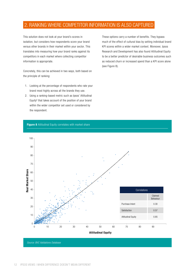## 2. RANKING WHERE COMPETITOR INFORMATION IS ALSO CAPTURED

This solution does not look at your brand's scores in isolation, but considers how respondents score your brand versus other brands in their market within your sector. This translates into measuring how your brand ranks against its competitors in each market where collecting competitor information is appropriate.

Concretely, this can be achieved in two ways, both based on the principle of ranking:

- 1. Looking at the percentage of respondents who rate your brand most highly across all the brands they use.
- 2. Using a ranking-based metric such as Ipsos' Attitudinal Equity<sup>6</sup> that takes account of the position of your brand within the wider competitor set used or considered by the respondent.

These options carry a number of benefits. They bypass much of the effect of cultural bias by setting individual brand KPI scores within a wider market context. Moreover, Ipsos Research and Development has also found Attitudinal Equity to be a better predictor of desirable business outcomes such as reduced churn or increased spend than a KPI score alone (see Figure 8).

**Figure 8** Attitudinal Equity correlates with market share



*Source: BVC Validations Database*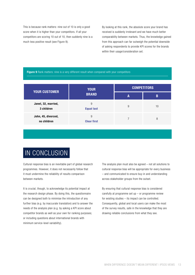This is because rank matters: nine out of 10 is only a good score when it is higher than your competitors. If all your competitors are scoring 10 out of 10, then suddenly nine is a much less positive result (see Figure 9).

By looking at this rank, the absolute score your brand has received is suddenly irrelevant and we have much better comparability between markets. Thus, the knowledge gained from this approach can far outweigh the potential downside of asking respondents to provide KPI scores for the brands within their usage/consideration set.

#### Figure 9 Rank matters: nine is a very different result when compared with your competitors

|                                    | <b>YOUR</b><br><b>BRAND</b> | <b>COMPETITORS</b> |    |
|------------------------------------|-----------------------------|--------------------|----|
| <b>YOUR CUSTOMER</b>               |                             | A                  | B  |
| Janet, 32, married,<br>3 children  | 9<br><b>Equal last</b>      | 9                  | 10 |
| John, 45, divorced,<br>no children | 9<br><b>Clear first</b>     |                    | 8  |

# IN CONCLUSION

Cultural response bias is an inevitable part of global research programmes. However, it does not necessarily follow that it must undermine the reliability of results comparison between markets.

It is crucial, though, to acknowledge its potential impact at the research design phase. By doing this, the questionnaire can be designed both to minimise the introduction of any further bias (e.g. by inaccurate translation) and to answer the needs of the analysis plan (e.g. by asking a KPI score about competitor brands as well as your own for ranking purposes; or including questions about international brands with minimum service-level variability).

The analysis plan must also be agreed – not all solutions to cultural response bias will be appropriate for every business – and communicated to ensure buy-in and understanding across stakeholder groups from the outset.

By ensuring that cultural response bias is considered carefully at programme set  $up - or$  programme review for existing studies – its impact can be controlled. Consequently, global and local users can make the most of the survey results, safe in the knowledge that they are drawing reliable conclusions from what they see.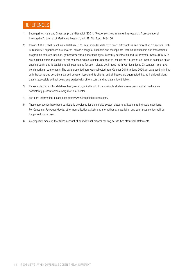## **REFERENCES**

- 1. Baumgartner, Hans and Steenkamp, Jan-Benedict (2001), "Response styles in marketing research: A cross-national investigation", Journal of Marketing Research, Vol. 38, No. 2, pp. 143-156
- 2. Ipsos' CX KPI Global Benchmark Database, 'CX Lens', includes data from over 100 countries and more than 30 sectors. Both B2C and B2B experiences are covered, across a range of channels and touchpoints. Both CX relationship and transactional programme data are included, gathered via various methodologies. Currently satisfaction and Net Promoter Score (NPS) KPIs are included within the scope of this database, which is being expanded to include the 'Forces of CX'. Data is collected on an ongoing basis, and is available to all Ipsos teams for use – please get in touch with your local Ipsos CX contact if you have benchmarking requirements. The data presented here was collected from October 2019 to June 2020. All data used is in line with the terms and conditions agreed between Ipsos and its clients, and all figures are aggregated (i.e. no individual client data is accessible without being aggregated with other scores and no data is identifiable).
- 3. Please note that as this database has grown organically out of the available studies across Ipsos, not all markets are consistently present across every metric or sector.
- 4. For more information, please see: <https://www.ipsosglobaltrends.com/>
- 5. These approaches have been particularly developed for the service sector related to attitudinal rating scale questions. For Consumer Packaged Goods, other normalisation adjustment alternatives are available, and your Ipsos contact will be happy to discuss them.
- 6. A composite measure that takes account of an individual brand's ranking across two attitudinal statements.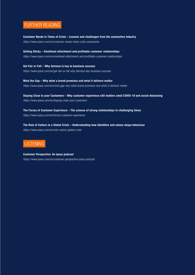## FURTHER READING

Customer Needs in Times of Crisis - Lessons and challenges from the automotive industry *https://www.ipsos.com/en/customer-needs-times-crisis-automotive* 

Getting Sticky – Emotional attachment and profitable customer relationships *https://www.ipsos.com/en/emotional-attachment-and-profitable-customer-relationships*

Get Fair or Fail – Why fairness is key to business success *https://www.ipsos.com/en/get-fair-or-fail-why-fairness-key-business-success* 

Mind the Gap – Why what a brand promises and what it delivers matter *https://www.ipsos.com/en/mind-gap-why-what-brand-promises-and-what-it-delivers-matter*

Staying Close to your Customers – Why customer experience still matters amid COVID-19 and social distancing *https://www.ipsos.com/en/staying-close-your-customers*

The Forces of Customer Experience – The science of strong relationships in challenging times *https://www.ipsos.com/en/forces-customer-experience*

The Role of Culture in a Global Crisis – Understanding how identities and values shape behaviour *https://www.ipsos.com/en/role-culture-global-crisis*



Customer Perspective: An Ipsos podcast

*https://www.ipsos.com/en/customer-perspective-ipsos-podcast*